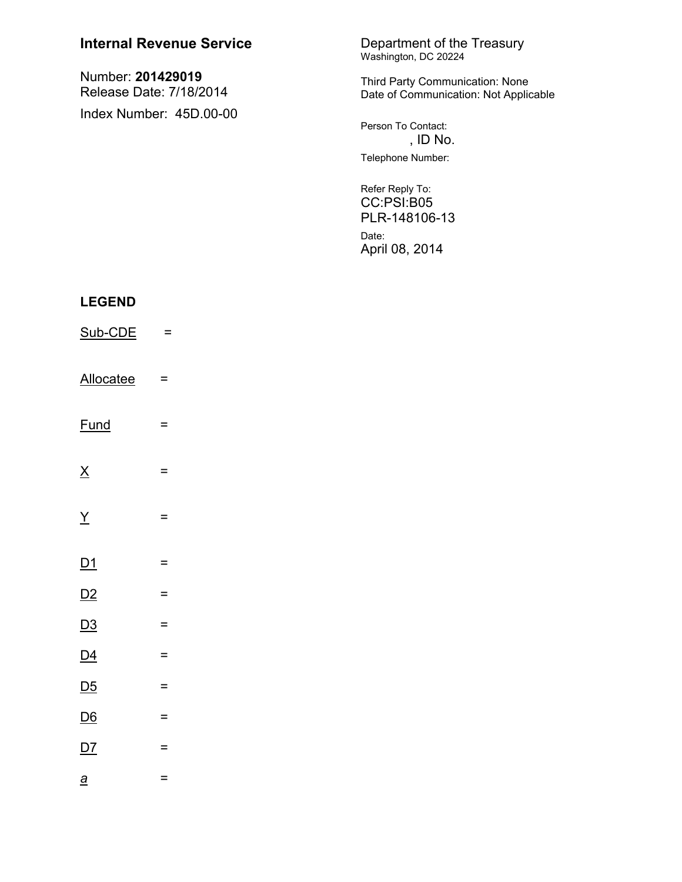| <b>Internal Revenue Service</b>                                         |          | Department of the Treasury<br>Washington, DC 20224                       |
|-------------------------------------------------------------------------|----------|--------------------------------------------------------------------------|
| Number: 201429019<br>Release Date: 7/18/2014<br>Index Number: 45D.00-00 |          | Third Party Communication: None<br>Date of Communication: Not Applicable |
|                                                                         |          | Person To Contact:<br>, ID No.                                           |
|                                                                         |          | Telephone Number:                                                        |
|                                                                         |          | Refer Reply To:<br>CC:PSI:B05<br>PLR-148106-13                           |
|                                                                         |          | Date:<br>April 08, 2014                                                  |
| <b>LEGEND</b>                                                           |          |                                                                          |
|                                                                         |          |                                                                          |
| Sub-CDE                                                                 | $=$      |                                                                          |
| <b>Allocatee</b>                                                        | Ξ        |                                                                          |
| <b>Fund</b>                                                             | =        |                                                                          |
| $\underline{X}$                                                         | =        |                                                                          |
| $\underline{Y}$                                                         | Ξ        |                                                                          |
| $\underline{\mathsf{D1}}$                                               | $\equiv$ |                                                                          |
| D2                                                                      | $=$      |                                                                          |
| D3                                                                      | =        |                                                                          |
| $\underline{D4}$                                                        | $=$      |                                                                          |
| D <sub>5</sub>                                                          | $=$      |                                                                          |
| $\underline{\mathsf{D6}}$                                               | $\equiv$ |                                                                          |

 $D7$ 

 $\underline{a}$ 

 $\equiv$ 

 $\equiv$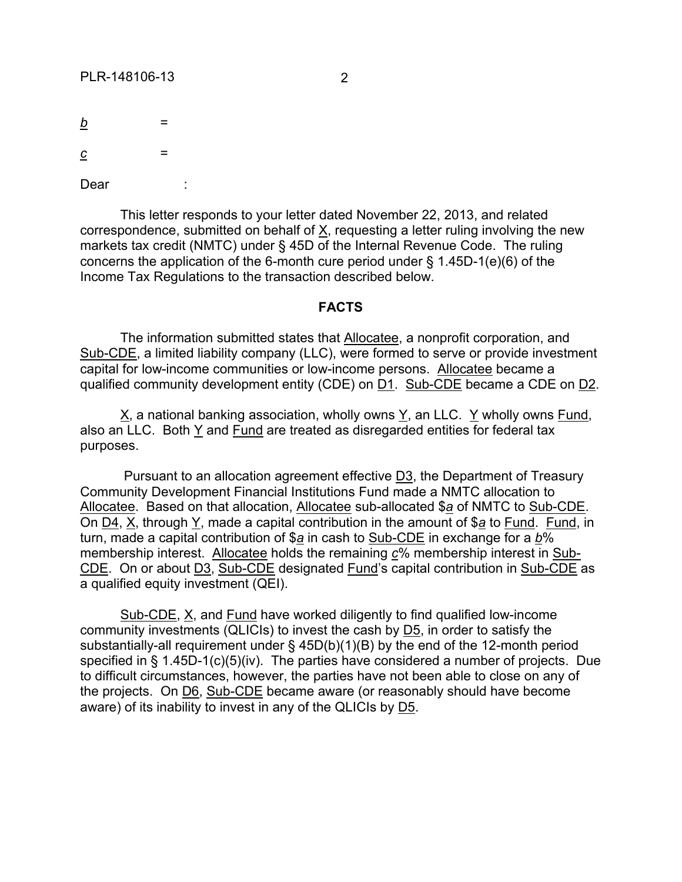*b* = -------

*c* = -----

Dear

This letter responds to your letter dated November 22, 2013, and related correspondence, submitted on behalf of X, requesting a letter ruling involving the new markets tax credit (NMTC) under § 45D of the Internal Revenue Code. The ruling concerns the application of the 6-month cure period under § 1.45D-1(e)(6) of the Income Tax Regulations to the transaction described below.

## **FACTS**

The information submitted states that Allocatee, a nonprofit corporation, and Sub-CDE, a limited liability company (LLC), were formed to serve or provide investment capital for low-income communities or low-income persons. Allocatee became a qualified community development entity (CDE) on D1. Sub-CDE became a CDE on D2.

X, a national banking association, wholly owns Y, an LLC. Y wholly owns Fund, also an LLC. Both Y and Fund are treated as disregarded entities for federal tax purposes.

Pursuant to an allocation agreement effective D3, the Department of Treasury Community Development Financial Institutions Fund made a NMTC allocation to Allocatee. Based on that allocation, Allocatee sub-allocated \$*a* of NMTC to Sub-CDE. On D4, X, through Y, made a capital contribution in the amount of \$*a* to Fund. Fund, in turn, made a capital contribution of \$*a* in cash to Sub-CDE in exchange for a *b*% membership interest. Allocatee holds the remaining *c*% membership interest in Sub-CDE. On or about D3, Sub-CDE designated Fund's capital contribution in Sub-CDE as a qualified equity investment (QEI).

Sub-CDE, X, and Fund have worked diligently to find qualified low-income community investments (QLICIs) to invest the cash by D5, in order to satisfy the substantially-all requirement under § 45D(b)(1)(B) by the end of the 12-month period specified in § 1.45D-1(c)(5)(iv). The parties have considered a number of projects. Due to difficult circumstances, however, the parties have not been able to close on any of the projects. On D6, Sub-CDE became aware (or reasonably should have become aware) of its inability to invest in any of the QLICIs by D5.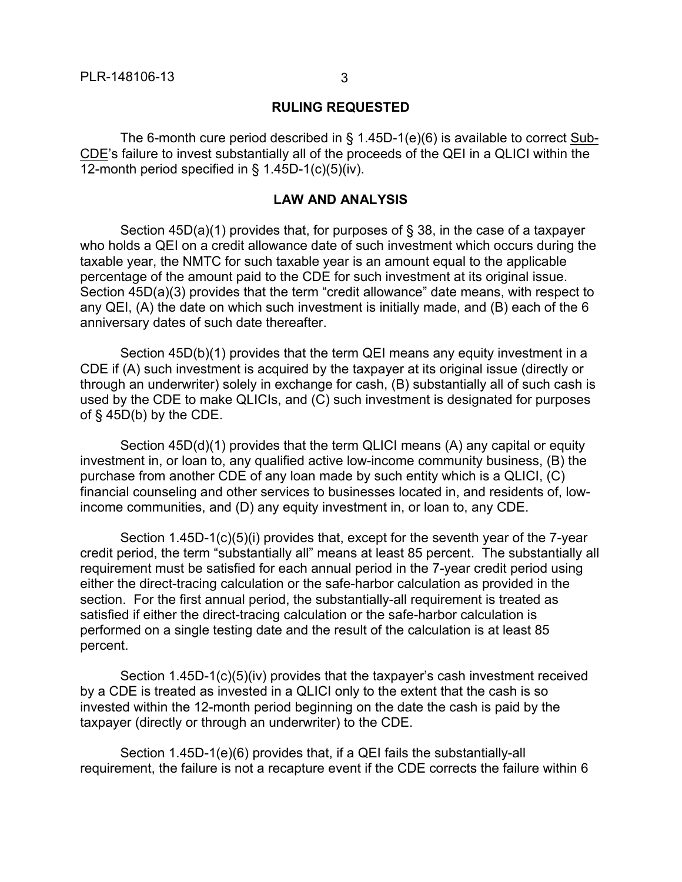## **RULING REQUESTED**

The 6-month cure period described in  $\S$  1.45D-1(e)(6) is available to correct Sub-CDE's failure to invest substantially all of the proceeds of the QEI in a QLICI within the 12-month period specified in § 1.45D-1(c)(5)(iv).

## **LAW AND ANALYSIS**

Section 45D(a)(1) provides that, for purposes of § 38, in the case of a taxpayer who holds a QEI on a credit allowance date of such investment which occurs during the taxable year, the NMTC for such taxable year is an amount equal to the applicable percentage of the amount paid to the CDE for such investment at its original issue. Section 45D(a)(3) provides that the term "credit allowance" date means, with respect to any QEI, (A) the date on which such investment is initially made, and (B) each of the 6 anniversary dates of such date thereafter.

Section 45D(b)(1) provides that the term QEI means any equity investment in a CDE if (A) such investment is acquired by the taxpayer at its original issue (directly or through an underwriter) solely in exchange for cash, (B) substantially all of such cash is used by the CDE to make QLICIs, and (C) such investment is designated for purposes of  $\S$  45D(b) by the CDE.

Section 45D(d)(1) provides that the term QLICI means (A) any capital or equity investment in, or loan to, any qualified active low-income community business, (B) the purchase from another CDE of any loan made by such entity which is a QLICI, (C) financial counseling and other services to businesses located in, and residents of, lowincome communities, and (D) any equity investment in, or loan to, any CDE.

Section 1.45D-1(c)(5)(i) provides that, except for the seventh year of the 7-year credit period, the term "substantially all" means at least 85 percent. The substantially all requirement must be satisfied for each annual period in the 7-year credit period using either the direct-tracing calculation or the safe-harbor calculation as provided in the section. For the first annual period, the substantially-all requirement is treated as satisfied if either the direct-tracing calculation or the safe-harbor calculation is performed on a single testing date and the result of the calculation is at least 85 percent.

Section 1.45D-1(c)(5)(iv) provides that the taxpayer's cash investment received by a CDE is treated as invested in a QLICI only to the extent that the cash is so invested within the 12-month period beginning on the date the cash is paid by the taxpayer (directly or through an underwriter) to the CDE.

Section 1.45D-1(e)(6) provides that, if a QEI fails the substantially-all requirement, the failure is not a recapture event if the CDE corrects the failure within 6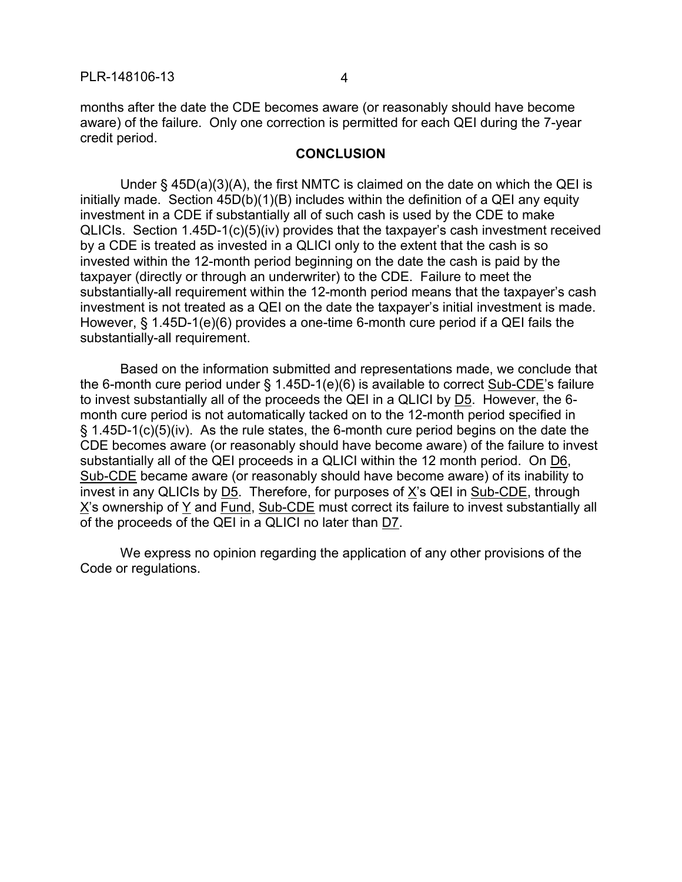months after the date the CDE becomes aware (or reasonably should have become aware) of the failure. Only one correction is permitted for each QEI during the 7-year credit period.

## **CONCLUSION**

Under § 45D(a)(3)(A), the first NMTC is claimed on the date on which the QEI is initially made. Section 45D(b)(1)(B) includes within the definition of a QEI any equity investment in a CDE if substantially all of such cash is used by the CDE to make QLICIs. Section 1.45D-1(c)(5)(iv) provides that the taxpayer's cash investment received by a CDE is treated as invested in a QLICI only to the extent that the cash is so invested within the 12-month period beginning on the date the cash is paid by the taxpayer (directly or through an underwriter) to the CDE. Failure to meet the substantially-all requirement within the 12-month period means that the taxpayer's cash investment is not treated as a QEI on the date the taxpayer's initial investment is made. However, § 1.45D-1(e)(6) provides a one-time 6-month cure period if a QEI fails the substantially-all requirement.

Based on the information submitted and representations made, we conclude that the 6-month cure period under § 1.45D-1(e)(6) is available to correct Sub-CDE's failure to invest substantially all of the proceeds the QEI in a QLICI by D5. However, the 6 month cure period is not automatically tacked on to the 12-month period specified in § 1.45D-1(c)(5)(iv). As the rule states, the 6-month cure period begins on the date the CDE becomes aware (or reasonably should have become aware) of the failure to invest substantially all of the QEI proceeds in a QLICI within the 12 month period. On D6, Sub-CDE became aware (or reasonably should have become aware) of its inability to invest in any QLICIs by D5. Therefore, for purposes of X's QEI in Sub-CDE, through X's ownership of Y and Fund, Sub-CDE must correct its failure to invest substantially all of the proceeds of the QEI in a QLICI no later than D7.

We express no opinion regarding the application of any other provisions of the Code or regulations.